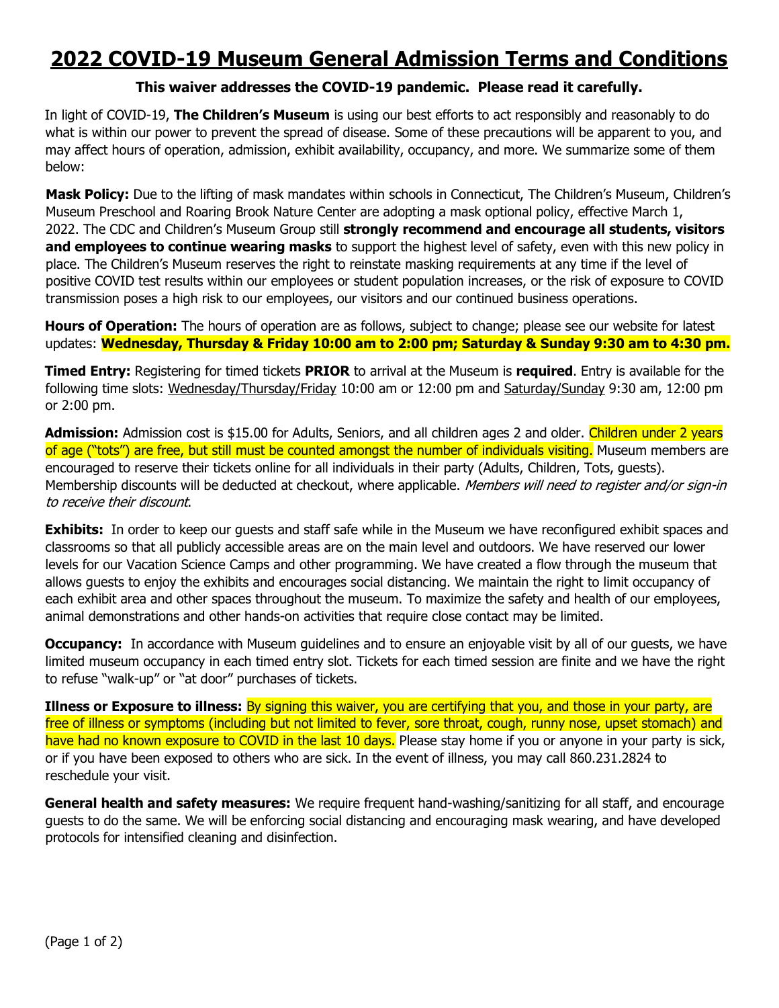## **2022 COVID-19 Museum General Admission Terms and Conditions**

## **This waiver addresses the COVID-19 pandemic. Please read it carefully.**

In light of COVID-19, **The Children's Museum** is using our best efforts to act responsibly and reasonably to do what is within our power to prevent the spread of disease. Some of these precautions will be apparent to you, and may affect hours of operation, admission, exhibit availability, occupancy, and more. We summarize some of them below:

**Mask Policy:** Due to the lifting of mask mandates within schools in Connecticut, The Children's Museum, Children's Museum Preschool and Roaring Brook Nature Center are adopting a mask optional policy, effective March 1, 2022. The CDC and Children's Museum Group still **strongly recommend and encourage all students, visitors and employees to continue wearing masks** to support the highest level of safety, even with this new policy in place. The Children's Museum reserves the right to reinstate masking requirements at any time if the level of positive COVID test results within our employees or student population increases, or the risk of exposure to COVID transmission poses a high risk to our employees, our visitors and our continued business operations.

**Hours of Operation:** The hours of operation are as follows, subject to change; please see our website for latest updates: **Wednesday, Thursday & Friday 10:00 am to 2:00 pm; Saturday & Sunday 9:30 am to 4:30 pm.**

**Timed Entry:** Registering for timed tickets **PRIOR** to arrival at the Museum is **required**. Entry is available for the following time slots: Wednesday/Thursday/Friday 10:00 am or 12:00 pm and Saturday/Sunday 9:30 am, 12:00 pm or 2:00 pm.

Admission: Admission cost is \$15.00 for Adults, Seniors, and all children ages 2 and older. Children under 2 years of age ("tots") are free, but still must be counted amongst the number of individuals visiting. Museum members are encouraged to reserve their tickets online for all individuals in their party (Adults, Children, Tots, guests). Membership discounts will be deducted at checkout, where applicable. Members will need to register and/or sign-in to receive their discount.

**Exhibits:** In order to keep our quests and staff safe while in the Museum we have reconfigured exhibit spaces and classrooms so that all publicly accessible areas are on the main level and outdoors. We have reserved our lower levels for our Vacation Science Camps and other programming. We have created a flow through the museum that allows guests to enjoy the exhibits and encourages social distancing. We maintain the right to limit occupancy of each exhibit area and other spaces throughout the museum. To maximize the safety and health of our employees, animal demonstrations and other hands-on activities that require close contact may be limited.

**Occupancy:** In accordance with Museum guidelines and to ensure an enjoyable visit by all of our guests, we have limited museum occupancy in each timed entry slot. Tickets for each timed session are finite and we have the right to refuse "walk-up" or "at door" purchases of tickets.

**Illness or Exposure to illness:** By signing this waiver, you are certifying that you, and those in your party, are free of illness or symptoms (including but not limited to fever, sore throat, cough, runny nose, upset stomach) and have had no known exposure to COVID in the last 10 days. Please stay home if you or anyone in your party is sick, or if you have been exposed to others who are sick. In the event of illness, you may call 860.231.2824 to reschedule your visit.

**General health and safety measures:** We require frequent hand-washing/sanitizing for all staff, and encourage guests to do the same. We will be enforcing social distancing and encouraging mask wearing, and have developed protocols for intensified cleaning and disinfection.